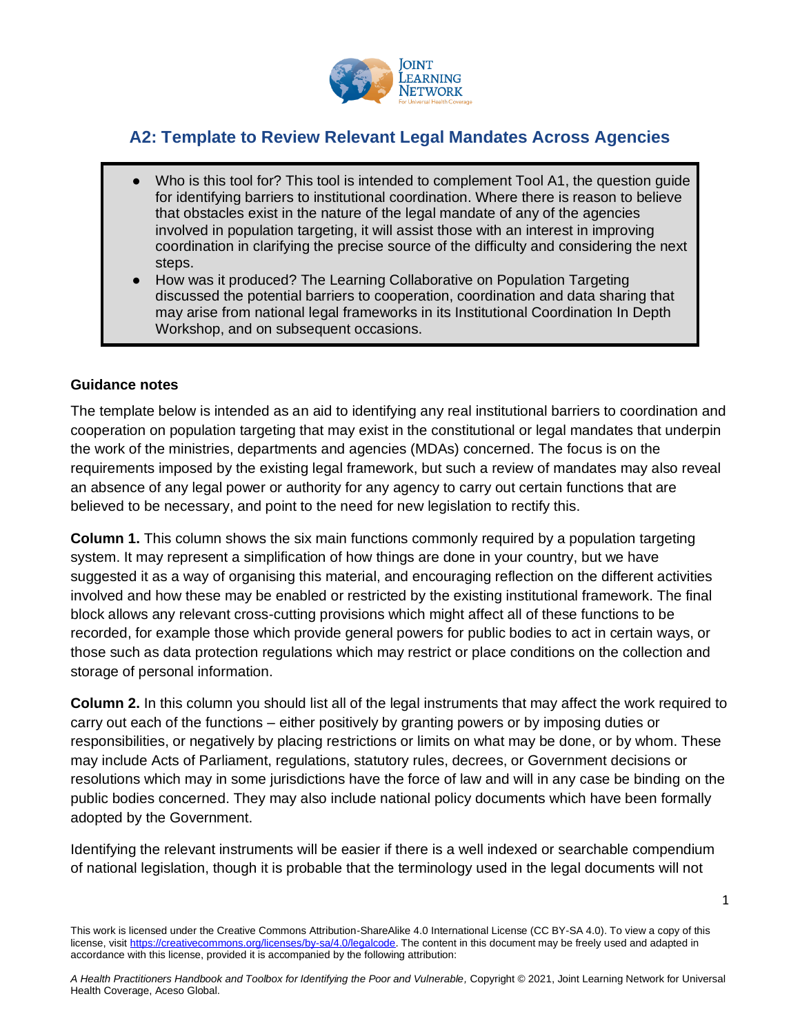

## **A2: Template to Review Relevant Legal Mandates Across Agencies**

- Who is this tool for? This tool is intended to complement Tool A1, the question quide for identifying barriers to institutional coordination. Where there is reason to believe that obstacles exist in the nature of the legal mandate of any of the agencies involved in population targeting, it will assist those with an interest in improving coordination in clarifying the precise source of the difficulty and considering the next steps.
- How was it produced? The Learning Collaborative on Population Targeting discussed the potential barriers to cooperation, coordination and data sharing that may arise from national legal frameworks in its Institutional Coordination In Depth Workshop, and on subsequent occasions.

## **Guidance notes**

The template below is intended as an aid to identifying any real institutional barriers to coordination and cooperation on population targeting that may exist in the constitutional or legal mandates that underpin the work of the ministries, departments and agencies (MDAs) concerned. The focus is on the requirements imposed by the existing legal framework, but such a review of mandates may also reveal an absence of any legal power or authority for any agency to carry out certain functions that are believed to be necessary, and point to the need for new legislation to rectify this.

**Column 1.** This column shows the six main functions commonly required by a population targeting system. It may represent a simplification of how things are done in your country, but we have suggested it as a way of organising this material, and encouraging reflection on the different activities involved and how these may be enabled or restricted by the existing institutional framework. The final block allows any relevant cross-cutting provisions which might affect all of these functions to be recorded, for example those which provide general powers for public bodies to act in certain ways, or those such as data protection regulations which may restrict or place conditions on the collection and storage of personal information.

**Column 2.** In this column you should list all of the legal instruments that may affect the work required to carry out each of the functions – either positively by granting powers or by imposing duties or responsibilities, or negatively by placing restrictions or limits on what may be done, or by whom. These may include Acts of Parliament, regulations, statutory rules, decrees, or Government decisions or resolutions which may in some jurisdictions have the force of law and will in any case be binding on the public bodies concerned. They may also include national policy documents which have been formally adopted by the Government.

Identifying the relevant instruments will be easier if there is a well indexed or searchable compendium of national legislation, though it is probable that the terminology used in the legal documents will not

1

This work is licensed under the Creative Commons Attribution-ShareAlike 4.0 International License (CC BY-SA 4.0). To view a copy of this license, visi[t https://creativecommons.org/licenses/by-sa/4.0/legalcode.](https://creativecommons.org/licenses/by-sa/4.0/legalcode) The content in this document may be freely used and adapted in accordance with this license, provided it is accompanied by the following attribution: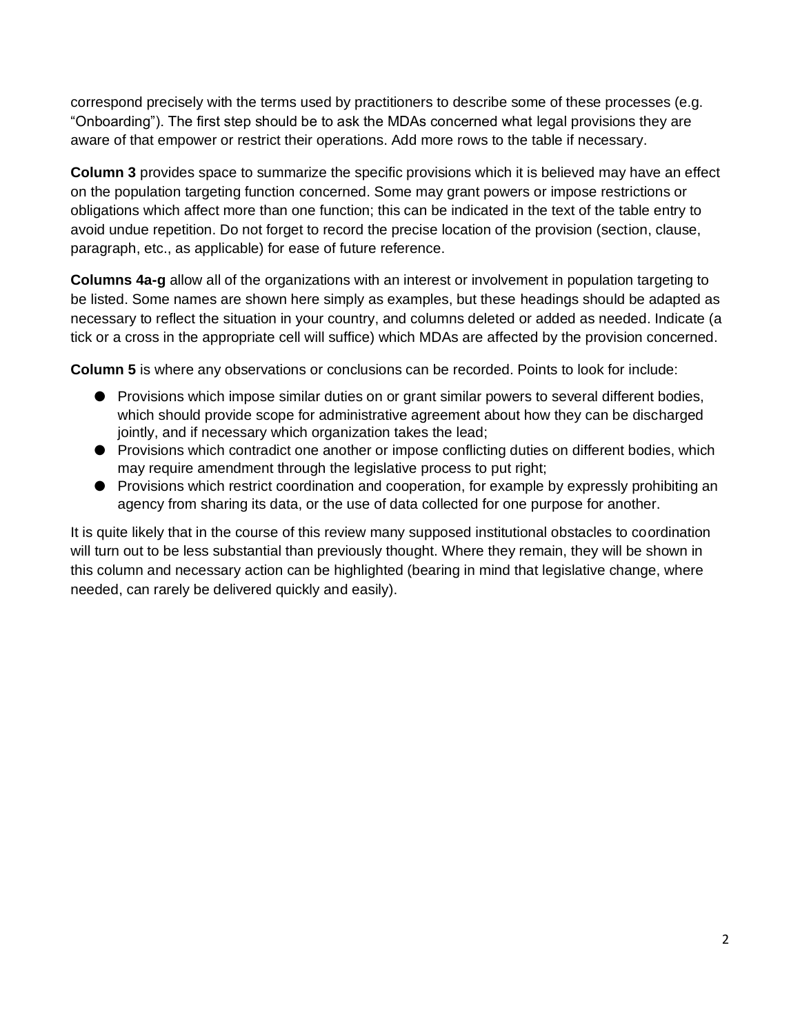correspond precisely with the terms used by practitioners to describe some of these processes (e.g. "Onboarding"). The first step should be to ask the MDAs concerned what legal provisions they are aware of that empower or restrict their operations. Add more rows to the table if necessary.

**Column 3** provides space to summarize the specific provisions which it is believed may have an effect on the population targeting function concerned. Some may grant powers or impose restrictions or obligations which affect more than one function; this can be indicated in the text of the table entry to avoid undue repetition. Do not forget to record the precise location of the provision (section, clause, paragraph, etc., as applicable) for ease of future reference.

**Columns 4a-g** allow all of the organizations with an interest or involvement in population targeting to be listed. Some names are shown here simply as examples, but these headings should be adapted as necessary to reflect the situation in your country, and columns deleted or added as needed. Indicate (a tick or a cross in the appropriate cell will suffice) which MDAs are affected by the provision concerned.

**Column 5** is where any observations or conclusions can be recorded. Points to look for include:

- Provisions which impose similar duties on or grant similar powers to several different bodies, which should provide scope for administrative agreement about how they can be discharged jointly, and if necessary which organization takes the lead;
- Provisions which contradict one another or impose conflicting duties on different bodies, which may require amendment through the legislative process to put right;
- Provisions which restrict coordination and cooperation, for example by expressly prohibiting an agency from sharing its data, or the use of data collected for one purpose for another.

It is quite likely that in the course of this review many supposed institutional obstacles to coordination will turn out to be less substantial than previously thought. Where they remain, they will be shown in this column and necessary action can be highlighted (bearing in mind that legislative change, where needed, can rarely be delivered quickly and easily).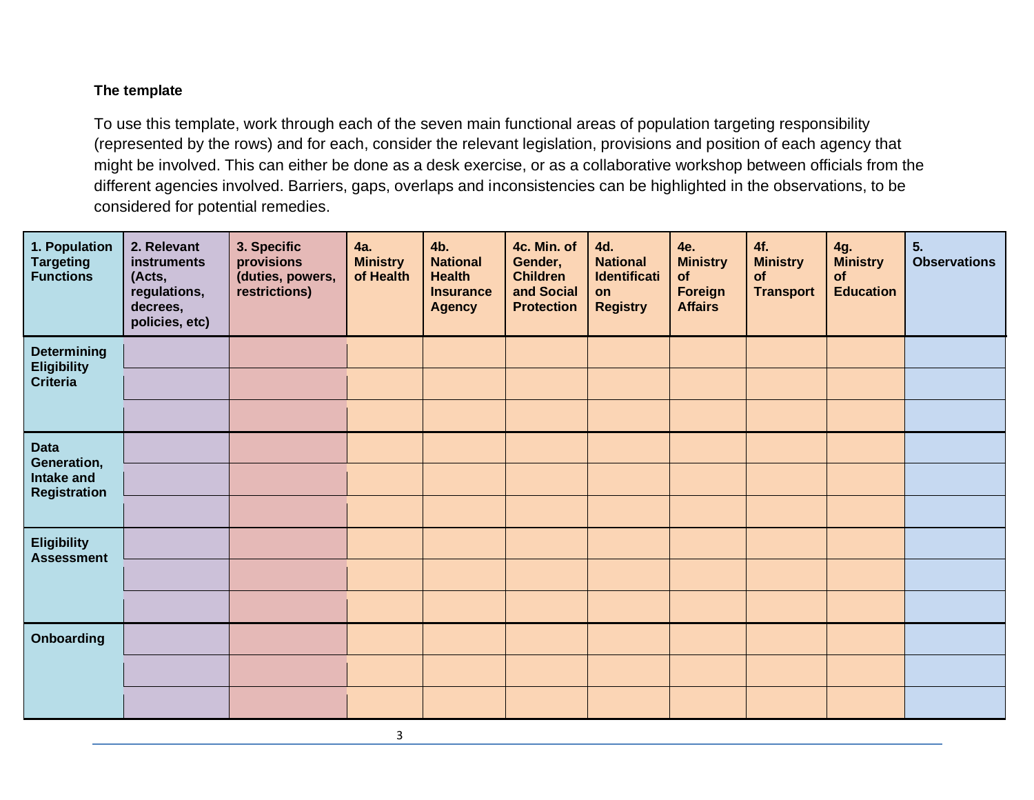## **The template**

To use this template, work through each of the seven main functional areas of population targeting responsibility (represented by the rows) and for each, consider the relevant legislation, provisions and position of each agency that might be involved. This can either be done as a desk exercise, or as a collaborative workshop between officials from the different agencies involved. Barriers, gaps, overlaps and inconsistencies can be highlighted in the observations, to be considered for potential remedies.

| 1. Population<br><b>Targeting</b><br><b>Functions</b>           | 2. Relevant<br>instruments<br>(Acts,<br>regulations,<br>decrees,<br>policies, etc) | 3. Specific<br>provisions<br>(duties, powers,<br>restrictions) | 4a.<br><b>Ministry</b><br>of Health | 4b.<br><b>National</b><br><b>Health</b><br><b>Insurance</b><br><b>Agency</b> | 4c. Min. of<br>Gender,<br><b>Children</b><br>and Social<br><b>Protection</b> | 4d.<br><b>National</b><br><b>Identificati</b><br>on<br><b>Registry</b> | 4e.<br><b>Ministry</b><br>of<br>Foreign<br><b>Affairs</b> | 4f.<br><b>Ministry</b><br>of<br><b>Transport</b> | 4g.<br><b>Ministry</b><br>of<br><b>Education</b> | 5.<br><b>Observations</b> |
|-----------------------------------------------------------------|------------------------------------------------------------------------------------|----------------------------------------------------------------|-------------------------------------|------------------------------------------------------------------------------|------------------------------------------------------------------------------|------------------------------------------------------------------------|-----------------------------------------------------------|--------------------------------------------------|--------------------------------------------------|---------------------------|
| <b>Determining</b><br><b>Eligibility</b><br><b>Criteria</b>     |                                                                                    |                                                                |                                     |                                                                              |                                                                              |                                                                        |                                                           |                                                  |                                                  |                           |
|                                                                 |                                                                                    |                                                                |                                     |                                                                              |                                                                              |                                                                        |                                                           |                                                  |                                                  |                           |
|                                                                 |                                                                                    |                                                                |                                     |                                                                              |                                                                              |                                                                        |                                                           |                                                  |                                                  |                           |
| <b>Data</b><br>Generation,<br>Intake and<br><b>Registration</b> |                                                                                    |                                                                |                                     |                                                                              |                                                                              |                                                                        |                                                           |                                                  |                                                  |                           |
|                                                                 |                                                                                    |                                                                |                                     |                                                                              |                                                                              |                                                                        |                                                           |                                                  |                                                  |                           |
|                                                                 |                                                                                    |                                                                |                                     |                                                                              |                                                                              |                                                                        |                                                           |                                                  |                                                  |                           |
| <b>Eligibility</b><br><b>Assessment</b>                         |                                                                                    |                                                                |                                     |                                                                              |                                                                              |                                                                        |                                                           |                                                  |                                                  |                           |
|                                                                 |                                                                                    |                                                                |                                     |                                                                              |                                                                              |                                                                        |                                                           |                                                  |                                                  |                           |
|                                                                 |                                                                                    |                                                                |                                     |                                                                              |                                                                              |                                                                        |                                                           |                                                  |                                                  |                           |
| <b>Onboarding</b>                                               |                                                                                    |                                                                |                                     |                                                                              |                                                                              |                                                                        |                                                           |                                                  |                                                  |                           |
|                                                                 |                                                                                    |                                                                |                                     |                                                                              |                                                                              |                                                                        |                                                           |                                                  |                                                  |                           |
|                                                                 |                                                                                    |                                                                |                                     |                                                                              |                                                                              |                                                                        |                                                           |                                                  |                                                  |                           |

3